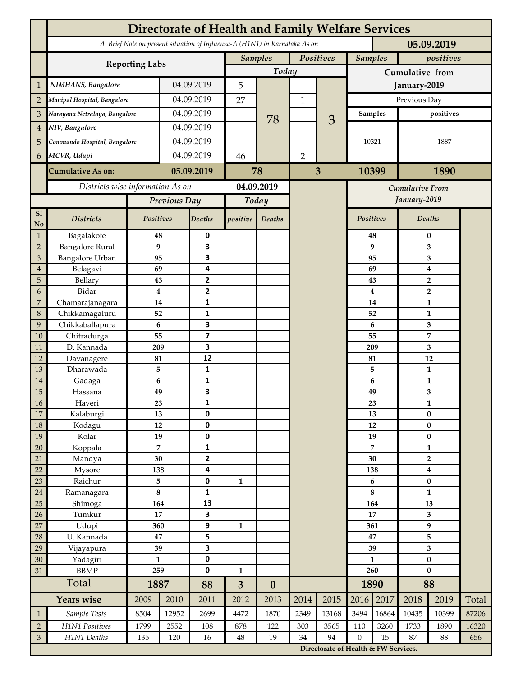|                | <b>Directorate of Health and Family Welfare Services</b>                                 |                  |            |                         |                |                  |                |                                        |                      |                             |                               |                         |       |  |
|----------------|------------------------------------------------------------------------------------------|------------------|------------|-------------------------|----------------|------------------|----------------|----------------------------------------|----------------------|-----------------------------|-------------------------------|-------------------------|-------|--|
|                | A Brief Note on present situation of Influenza-A (H1N1) in Karnataka As on<br>05.09.2019 |                  |            |                         |                |                  |                |                                        |                      |                             |                               |                         |       |  |
|                | <b>Reporting Labs</b>                                                                    |                  |            |                         | <b>Samples</b> |                  | Positives      |                                        |                      | <b>Samples</b><br>positives |                               |                         |       |  |
|                |                                                                                          |                  |            |                         | Today          |                  |                |                                        | Cumulative from      |                             |                               |                         |       |  |
| $\mathbf{1}$   | NIMHANS, Bangalore                                                                       | 04.09.2019       |            | 5                       |                |                  |                | January-2019                           |                      |                             |                               |                         |       |  |
| $\overline{2}$ | Manipal Hospital, Bangalore                                                              |                  |            | 04.09.2019              |                |                  | $\mathbf 1$    |                                        | Previous Day         |                             |                               |                         |       |  |
| 3              | Narayana Netralaya, Bangalore                                                            |                  |            | 04.09.2019              |                |                  |                |                                        | positives<br>Samples |                             |                               |                         |       |  |
| $\overline{4}$ | NIV, Bangalore                                                                           |                  | 04.09.2019 |                         |                | 78               |                | 3                                      |                      |                             |                               |                         |       |  |
| 5              | Commando Hospital, Bangalore                                                             |                  | 04.09.2019 |                         |                |                  |                |                                        | 10321                |                             | 1887                          |                         |       |  |
| 6              | MCVR, Udupi                                                                              |                  | 04.09.2019 |                         | 46             |                  | $\overline{2}$ |                                        |                      |                             |                               |                         |       |  |
|                | <b>Cumulative As on:</b>                                                                 |                  |            | 05.09.2019              |                | 78               | 3              |                                        | 10399                |                             | 1890                          |                         |       |  |
|                | Districts wise information As on                                                         |                  |            | 04.09.2019              |                |                  |                |                                        |                      |                             |                               |                         |       |  |
|                |                                                                                          | Previous Day     |            | Today                   |                |                  |                | <b>Cumulative From</b><br>January-2019 |                      |                             |                               |                         |       |  |
| S1             |                                                                                          |                  |            |                         |                |                  |                |                                        |                      |                             |                               |                         |       |  |
| No             | <b>Districts</b>                                                                         | Positives        |            | Deaths                  | positive       | Deaths           |                |                                        | Positives            |                             |                               | Deaths                  |       |  |
| $\mathbf{1}$   | Bagalakote                                                                               | 48               |            | 0                       |                |                  |                |                                        |                      | 48                          |                               | $\bf{0}$                |       |  |
| $\overline{2}$ | <b>Bangalore Rural</b>                                                                   | $\boldsymbol{9}$ |            | 3                       |                |                  |                | 9                                      | 3                    |                             |                               |                         |       |  |
| 3              | <b>Bangalore Urban</b>                                                                   | 95               |            | 3                       |                |                  |                |                                        |                      | 95                          | 3                             |                         |       |  |
| $\overline{4}$ | Belagavi                                                                                 | 69               |            | 4                       |                |                  |                |                                        |                      | 69                          | $\boldsymbol{4}$              |                         |       |  |
| 5              | Bellary                                                                                  | 43<br>$\bf{4}$   |            | 2                       |                |                  |                |                                        |                      | 43                          | $\overline{2}$                |                         |       |  |
| 6              | Bidar                                                                                    |                  |            | $\mathbf{2}$            |                |                  |                |                                        |                      | $\boldsymbol{4}$            |                               | $\overline{2}$          |       |  |
| 7              | Chamarajanagara<br>Chikkamagaluru                                                        | 14<br>52         |            | 1<br>1                  |                |                  |                |                                        |                      | 14<br>52                    |                               | 1<br>1                  |       |  |
| 8<br>9         | Chikkaballapura                                                                          | 6                |            | 3                       |                |                  |                |                                        |                      | 6                           |                               | 3                       |       |  |
| 10             | Chitradurga                                                                              | 55               |            | $\overline{\mathbf{z}}$ |                |                  |                |                                        |                      | 55                          |                               | 7                       |       |  |
| 11             | D. Kannada                                                                               | 209              |            | 3                       |                |                  |                |                                        |                      | 209                         |                               | 3                       |       |  |
| 12             | Davanagere                                                                               | 81               |            | 12                      |                |                  |                |                                        | 81                   |                             |                               | 12                      |       |  |
| 13             | Dharawada                                                                                | 5                |            | $\mathbf{1}$            |                |                  |                |                                        |                      | 5                           |                               | $\mathbf{1}$            |       |  |
| 14             | Gadaga                                                                                   | 6                |            | 1                       |                |                  |                |                                        |                      | 6                           |                               | 1                       |       |  |
| 15             | Hassana                                                                                  | 49               |            | 3                       |                |                  |                |                                        |                      | 49                          |                               | 3                       |       |  |
| <b>16</b>      | Haveri                                                                                   | 23               |            | 1                       |                |                  |                |                                        |                      | 23                          | 1                             |                         |       |  |
| 17             | Kalaburgi                                                                                | 13               |            | 0                       |                |                  |                |                                        |                      | 13                          | $\pmb{0}$                     |                         |       |  |
| 18             | Kodagu                                                                                   | 12               |            | $\pmb{0}$               |                |                  |                |                                        |                      | 12                          |                               | $\pmb{0}$               |       |  |
| 19             | Kolar                                                                                    | 19               |            | 0                       |                |                  |                |                                        |                      | 19                          | $\pmb{0}$                     |                         |       |  |
| 20             | Koppala                                                                                  | $\overline{7}$   |            | 1                       |                |                  |                |                                        |                      | 7                           | $\mathbf{1}$                  |                         |       |  |
| 21             | Mandya                                                                                   | $30\,$           |            | $\mathbf{2}$            |                |                  |                |                                        | 30                   |                             | $\mathbf{2}$                  |                         |       |  |
| 22             | Mysore                                                                                   | 138<br>5         |            | 4                       |                |                  |                |                                        | 138<br>6             |                             | $\boldsymbol{4}$<br>$\pmb{0}$ |                         |       |  |
| 23<br>$24\,$   | Raichur<br>Ramanagara                                                                    | $\bf 8$          |            | 0<br>1                  | $\mathbf{1}$   |                  |                |                                        | 8                    |                             | $\mathbf{1}$                  |                         |       |  |
| 25             | Shimoga                                                                                  | 164              |            | 13                      |                |                  |                |                                        | 164                  |                             | 13                            |                         |       |  |
| 26             | Tumkur                                                                                   | 17               |            | 3                       |                |                  |                |                                        | 17                   |                             | 3                             |                         |       |  |
| 27             | Udupi                                                                                    | 360              |            | 9                       | 1              |                  |                |                                        | 361                  |                             | 9                             |                         |       |  |
| 28             | U. Kannada                                                                               | 47               |            | 5                       |                |                  |                |                                        | 47                   |                             | 5                             |                         |       |  |
| 29             | Vijayapura                                                                               | 39               |            | 3                       |                |                  |                |                                        |                      | 39                          |                               | $\overline{\mathbf{3}}$ |       |  |
| 30             | Yadagiri                                                                                 | $\mathbf{1}$     |            | 0                       |                |                  |                |                                        | $\mathbf{1}$         |                             | $\pmb{0}$                     |                         |       |  |
| 31             | <b>BBMP</b><br>259                                                                       |                  |            | 0                       | $\mathbf{1}$   |                  |                |                                        | 260                  |                             | $\bf{0}$                      |                         |       |  |
|                | Total                                                                                    | 1887             |            | 88                      | $\overline{3}$ | $\boldsymbol{0}$ |                |                                        |                      | 1890                        |                               | 88                      |       |  |
|                | <b>Years wise</b>                                                                        | 2009             | 2010       | 2011                    | 2012           | 2013             | 2014           | 2015                                   | 2016                 | 2017                        | 2018                          | 2019                    | Total |  |
| $\mathbf{1}$   | Sample Tests                                                                             | 8504             | 12952      | 2699                    | 4472           | 1870             | 2349           | 13168                                  | 3494                 | 16864                       | 10435                         | 10399                   | 87206 |  |
| $\overline{2}$ | H1N1 Positives                                                                           | 1799             | 2552       | 108                     | 878            | 122              | 303            | 3565                                   | 110                  | 3260                        | 1733                          | 1890                    | 16320 |  |
| $\mathfrak{Z}$ | H1N1 Deaths                                                                              | 135              | 120        | 16                      | $48\,$         | 19               | 34             | 94                                     | $\boldsymbol{0}$     | 15                          | 87                            | 88                      | 656   |  |
|                |                                                                                          |                  |            |                         |                |                  |                | Directorate of Health & FW Services.   |                      |                             |                               |                         |       |  |